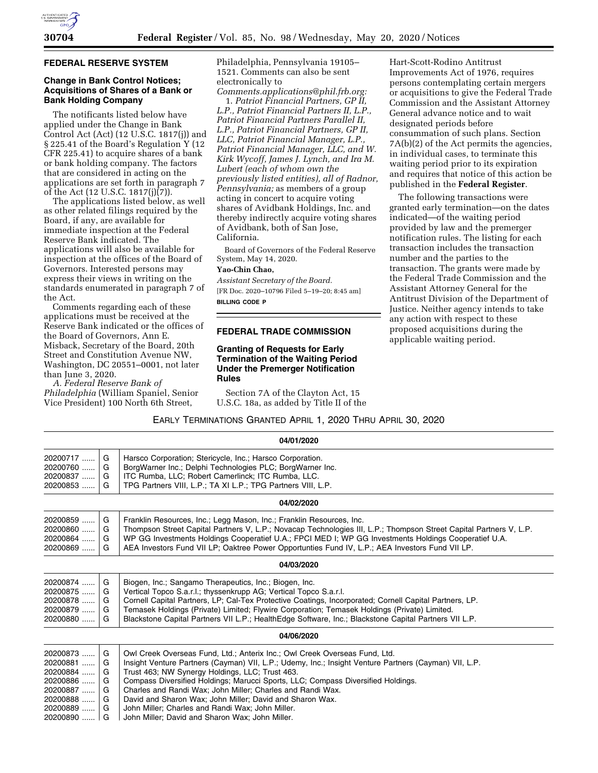

### **FEDERAL RESERVE SYSTEM**

### **Change in Bank Control Notices; Acquisitions of Shares of a Bank or Bank Holding Company**

The notificants listed below have applied under the Change in Bank Control Act (Act) (12 U.S.C. 1817(j)) and § 225.41 of the Board's Regulation Y (12 CFR 225.41) to acquire shares of a bank or bank holding company. The factors that are considered in acting on the applications are set forth in paragraph 7 of the Act (12 U.S.C. 1817(j)(7)).

The applications listed below, as well as other related filings required by the Board, if any, are available for immediate inspection at the Federal Reserve Bank indicated. The applications will also be available for inspection at the offices of the Board of Governors. Interested persons may express their views in writing on the standards enumerated in paragraph 7 of the Act.

Comments regarding each of these applications must be received at the Reserve Bank indicated or the offices of the Board of Governors, Ann E. Misback, Secretary of the Board, 20th Street and Constitution Avenue NW, Washington, DC 20551–0001, not later than June 3, 2020.

*A. Federal Reserve Bank of Philadelphia* (William Spaniel, Senior Vice President) 100 North 6th Street,

Philadelphia, Pennsylvania 19105– 1521. Comments can also be sent electronically to

*[Comments.applications@phil.frb.org:](mailto:Comments.applications@phil.frb.org)*  1. *Patriot Financial Partners, GP II, L.P., Patriot Financial Partners II, L.P.,* 

*Patriot Financial Partners Parallel II, L.P., Patriot Financial Partners, GP II, LLC, Patriot Financial Manager, L.P., Patriot Financial Manager, LLC, and W. Kirk Wycoff, James J. Lynch, and Ira M. Lubert (each of whom own the previously listed entities), all of Radnor, Pennsylvania;* as members of a group acting in concert to acquire voting shares of Avidbank Holdings, Inc. and thereby indirectly acquire voting shares of Avidbank, both of San Jose, California.

Board of Governors of the Federal Reserve System, May 14, 2020.

#### **Yao-Chin Chao,**

*Assistant Secretary of the Board.*  [FR Doc. 2020–10796 Filed 5–19–20; 8:45 am] **BILLING CODE P** 

### **FEDERAL TRADE COMMISSION**

### **Granting of Requests for Early Termination of the Waiting Period Under the Premerger Notification Rules**

Section 7A of the Clayton Act, 15 U.S.C. 18a, as added by Title II of the

Hart-Scott-Rodino Antitrust Improvements Act of 1976, requires persons contemplating certain mergers or acquisitions to give the Federal Trade Commission and the Assistant Attorney General advance notice and to wait designated periods before consummation of such plans. Section 7A(b)(2) of the Act permits the agencies, in individual cases, to terminate this waiting period prior to its expiration and requires that notice of this action be published in the **Federal Register**.

The following transactions were granted early termination—on the dates indicated—of the waiting period provided by law and the premerger notification rules. The listing for each transaction includes the transaction number and the parties to the transaction. The grants were made by the Federal Trade Commission and the Assistant Attorney General for the Antitrust Division of the Department of Justice. Neither agency intends to take any action with respect to these proposed acquisitions during the applicable waiting period.

# EARLY TERMINATIONS GRANTED APRIL 1, 2020 THRU APRIL 30, 2020

| 04/01/2020 |   |                                                                                                                    |  |  |
|------------|---|--------------------------------------------------------------------------------------------------------------------|--|--|
| 20200717   | G | Harsco Corporation; Stericycle, Inc.; Harsco Corporation.                                                          |  |  |
| 20200760   | G | BorgWarner Inc.; Delphi Technologies PLC; BorgWarner Inc.                                                          |  |  |
| 20200837   | G | ITC Rumba, LLC; Robert Camerlinck; ITC Rumba, LLC.                                                                 |  |  |
| 20200853   | G | TPG Partners VIII, L.P.; TA XI L.P.; TPG Partners VIII, L.P.                                                       |  |  |
| 04/02/2020 |   |                                                                                                                    |  |  |
| 20200859   | G | Franklin Resources, Inc.; Legg Mason, Inc.; Franklin Resources, Inc.                                               |  |  |
| 20200860   | G | Thompson Street Capital Partners V, L.P.; Novacap Technologies III, L.P.; Thompson Street Capital Partners V, L.P. |  |  |
| $20200864$ | G | WP GG Investments Holdings Cooperatief U.A.; FPCI MED I; WP GG Investments Holdings Cooperatief U.A.               |  |  |
| 20200869   | G | AEA Investors Fund VII LP; Oaktree Power Opportunties Fund IV, L.P.; AEA Investors Fund VII LP.                    |  |  |
|            |   | 04/03/2020                                                                                                         |  |  |
| 20200874   | G | Biogen, Inc.; Sangamo Therapeutics, Inc.; Biogen, Inc.                                                             |  |  |
| 20200875   | G | Vertical Topco S.a.r.l.; thyssenkrupp AG; Vertical Topco S.a.r.l.                                                  |  |  |
| 20200878   | G | Cornell Capital Partners, LP; Cal-Tex Protective Coatings, Incorporated; Cornell Capital Partners, LP.             |  |  |
| 20200879   | G | Temasek Holdings (Private) Limited; Flywire Corporation; Temasek Holdings (Private) Limited.                       |  |  |
| 20200880   | G | Blackstone Capital Partners VII L.P.; HealthEdge Software, Inc.; Blackstone Capital Partners VII L.P.              |  |  |
| 04/06/2020 |   |                                                                                                                    |  |  |
| 20200873   | G | Owl Creek Overseas Fund, Ltd.; Anterix Inc.; Owl Creek Overseas Fund, Ltd.                                         |  |  |
| 20200881   | G | Insight Venture Partners (Cayman) VII, L.P.; Udemy, Inc.; Insight Venture Partners (Cayman) VII, L.P.              |  |  |
| 20200884   | G | Trust 463; NW Synergy Holdings, LLC; Trust 463.                                                                    |  |  |
| 20200886   | G | Compass Diversified Holdings; Marucci Sports, LLC; Compass Diversified Holdings.                                   |  |  |
| 20200887   | G | Charles and Randi Wax; John Miller; Charles and Randi Wax.                                                         |  |  |
| 20200888   | G | David and Sharon Wax; John Miller; David and Sharon Wax.                                                           |  |  |
| 20200889   | G | John Miller; Charles and Randi Wax; John Miller.                                                                   |  |  |
| 20200890   | G | John Miller; David and Sharon Wax; John Miller.                                                                    |  |  |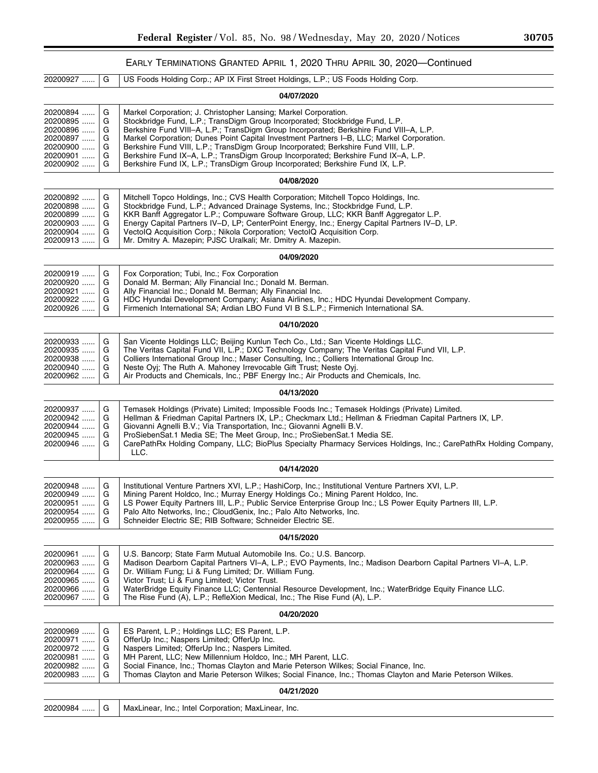# EARLY TERMINATIONS GRANTED APRIL 1, 2020 THRU APRIL 30, 2020—Continued

| 20200927                                                                         | G                               | US Foods Holding Corp.; AP IX First Street Holdings, L.P.; US Foods Holding Corp.                                                                                                                                                                                                                                                                                                                                                                                                                                                                                                                    |  |  |
|----------------------------------------------------------------------------------|---------------------------------|------------------------------------------------------------------------------------------------------------------------------------------------------------------------------------------------------------------------------------------------------------------------------------------------------------------------------------------------------------------------------------------------------------------------------------------------------------------------------------------------------------------------------------------------------------------------------------------------------|--|--|
| 04/07/2020                                                                       |                                 |                                                                                                                                                                                                                                                                                                                                                                                                                                                                                                                                                                                                      |  |  |
| 20200894<br>20200895<br>20200896<br>20200897<br>20200900<br>20200901<br>20200902 | G<br>G<br>G<br>G<br>G<br>G<br>G | Markel Corporation; J. Christopher Lansing; Markel Corporation.<br>Stockbridge Fund, L.P.; TransDigm Group Incorporated; Stockbridge Fund, L.P.<br>Berkshire Fund VIII-A, L.P.; TransDigm Group Incorporated; Berkshire Fund VIII-A, L.P.<br>Markel Corporation; Dunes Point Capital Investment Partners I-B, LLC; Markel Corporation.<br>Berkshire Fund VIII, L.P.; TransDigm Group Incorporated; Berkshire Fund VIII, L.P.<br>Berkshire Fund IX-A, L.P.; TransDigm Group Incorporated; Berkshire Fund IX-A, L.P.<br>Berkshire Fund IX, L.P.; TransDigm Group Incorporated; Berkshire Fund IX, L.P. |  |  |
|                                                                                  |                                 | 04/08/2020                                                                                                                                                                                                                                                                                                                                                                                                                                                                                                                                                                                           |  |  |
| 20200892<br>20200898<br>20200899<br>20200903<br>20200904<br>20200913             | G<br>G<br>G<br>G<br>G<br>G      | Mitchell Topco Holdings, Inc.; CVS Health Corporation; Mitchell Topco Holdings, Inc.<br>Stockbridge Fund, L.P.; Advanced Drainage Systems, Inc.; Stockbridge Fund, L.P.<br>KKR Banff Aggregator L.P.; Compuware Software Group, LLC; KKR Banff Aggregator L.P.<br>Energy Capital Partners IV-D, LP; CenterPoint Energy, Inc.; Energy Capital Partners IV-D, LP.<br>VectolQ Acquisition Corp.; Nikola Corporation; VectolQ Acquisition Corp.<br>Mr. Dmitry A. Mazepin; PJSC Uralkali; Mr. Dmitry A. Mazepin.                                                                                          |  |  |
|                                                                                  |                                 | 04/09/2020                                                                                                                                                                                                                                                                                                                                                                                                                                                                                                                                                                                           |  |  |
| 20200919<br>20200920<br>20200921<br>20200922<br>20200926                         | G<br>G<br>G<br>G<br>G           | Fox Corporation; Tubi, Inc.; Fox Corporation<br>Donald M. Berman; Ally Financial Inc.; Donald M. Berman.<br>Ally Financial Inc.; Donald M. Berman; Ally Financial Inc.<br>HDC Hyundai Development Company; Asiana Airlines, Inc.; HDC Hyundai Development Company.<br>Firmenich International SA; Ardian LBO Fund VI B S.L.P.; Firmenich International SA.                                                                                                                                                                                                                                           |  |  |
|                                                                                  |                                 | 04/10/2020                                                                                                                                                                                                                                                                                                                                                                                                                                                                                                                                                                                           |  |  |
| 20200933<br>20200935<br>20200938<br>20200940<br>20200962                         | G<br>G<br>G<br>G<br>G           | San Vicente Holdings LLC; Beijing Kunlun Tech Co., Ltd.; San Vicente Holdings LLC.<br>The Veritas Capital Fund VII, L.P.; DXC Technology Company; The Veritas Capital Fund VII, L.P.<br>Colliers International Group Inc.; Maser Consulting, Inc.; Colliers International Group Inc.<br>Neste Oyj; The Ruth A. Mahoney Irrevocable Gift Trust; Neste Oyj.<br>Air Products and Chemicals, Inc.; PBF Energy Inc.; Air Products and Chemicals, Inc.                                                                                                                                                     |  |  |
|                                                                                  |                                 | 04/13/2020                                                                                                                                                                                                                                                                                                                                                                                                                                                                                                                                                                                           |  |  |
| 20200937<br>20200942<br>20200944<br>20200945<br>20200946                         | G<br>G<br>G<br>G<br>G           | Temasek Holdings (Private) Limited; Impossible Foods Inc.; Temasek Holdings (Private) Limited.<br>Hellman & Friedman Capital Partners IX, LP.; Checkmarx Ltd.; Hellman & Friedman Capital Partners IX, LP.<br>Giovanni Agnelli B.V.; Via Transportation, Inc.; Giovanni Agnelli B.V.<br>ProSiebenSat.1 Media SE; The Meet Group, Inc.; ProSiebenSat.1 Media SE.<br>CarePathRx Holding Company, LLC; BioPlus Specialty Pharmacy Services Holdings, Inc.; CarePathRx Holding Company,<br>LLC.                                                                                                          |  |  |
|                                                                                  |                                 | 04/14/2020                                                                                                                                                                                                                                                                                                                                                                                                                                                                                                                                                                                           |  |  |
| 20200948<br>20200949<br>20200951<br>20200954<br>20200955                         | G<br>G<br>G<br>G<br>G           | Institutional Venture Partners XVI, L.P.; HashiCorp, Inc.; Institutional Venture Partners XVI, L.P.<br>Mining Parent Holdco, Inc.; Murray Energy Holdings Co.; Mining Parent Holdco, Inc.<br>LS Power Equity Partners III, L.P.; Public Service Enterprise Group Inc.; LS Power Equity Partners III, L.P.<br>Palo Alto Networks, Inc.; CloudGenix, Inc.; Palo Alto Networks, Inc.<br>Schneider Electric SE; RIB Software; Schneider Electric SE.                                                                                                                                                     |  |  |
|                                                                                  |                                 | 04/15/2020                                                                                                                                                                                                                                                                                                                                                                                                                                                                                                                                                                                           |  |  |
| 20200961<br>20200963<br>20200964<br>20200965<br>20200966<br>20200967             | G<br>G<br>G<br>G<br>G<br>G      | U.S. Bancorp; State Farm Mutual Automobile Ins. Co.; U.S. Bancorp.<br>Madison Dearborn Capital Partners VI-A, L.P.; EVO Payments, Inc.; Madison Dearborn Capital Partners VI-A, L.P.<br>Dr. William Fung; Li & Fung Limited; Dr. William Fung.<br>Victor Trust; Li & Fung Limited; Victor Trust.<br>WaterBridge Equity Finance LLC; Centennial Resource Development, Inc.; WaterBridge Equity Finance LLC.<br>The Rise Fund (A), L.P.; RefleXion Medical, Inc.; The Rise Fund (A), L.P.                                                                                                              |  |  |
| 04/20/2020                                                                       |                                 |                                                                                                                                                                                                                                                                                                                                                                                                                                                                                                                                                                                                      |  |  |
| 20200969<br>20200971<br>20200972<br>20200981<br>20200982<br>20200983             | G<br>G<br>G<br>G<br>G<br>G      | ES Parent, L.P.; Holdings LLC; ES Parent, L.P.<br>OfferUp Inc.; Naspers Limited; OfferUp Inc.<br>Naspers Limited; OfferUp Inc.; Naspers Limited.<br>MH Parent, LLC; New Millennium Holdco, Inc.; MH Parent, LLC.<br>Social Finance, Inc.; Thomas Clayton and Marie Peterson Wilkes; Social Finance, Inc.<br>Thomas Clayton and Marie Peterson Wilkes; Social Finance, Inc.; Thomas Clayton and Marie Peterson Wilkes.                                                                                                                                                                                |  |  |
| 04/21/2020                                                                       |                                 |                                                                                                                                                                                                                                                                                                                                                                                                                                                                                                                                                                                                      |  |  |
| 20200984                                                                         | G                               | MaxLinear, Inc.; Intel Corporation; MaxLinear, Inc.                                                                                                                                                                                                                                                                                                                                                                                                                                                                                                                                                  |  |  |